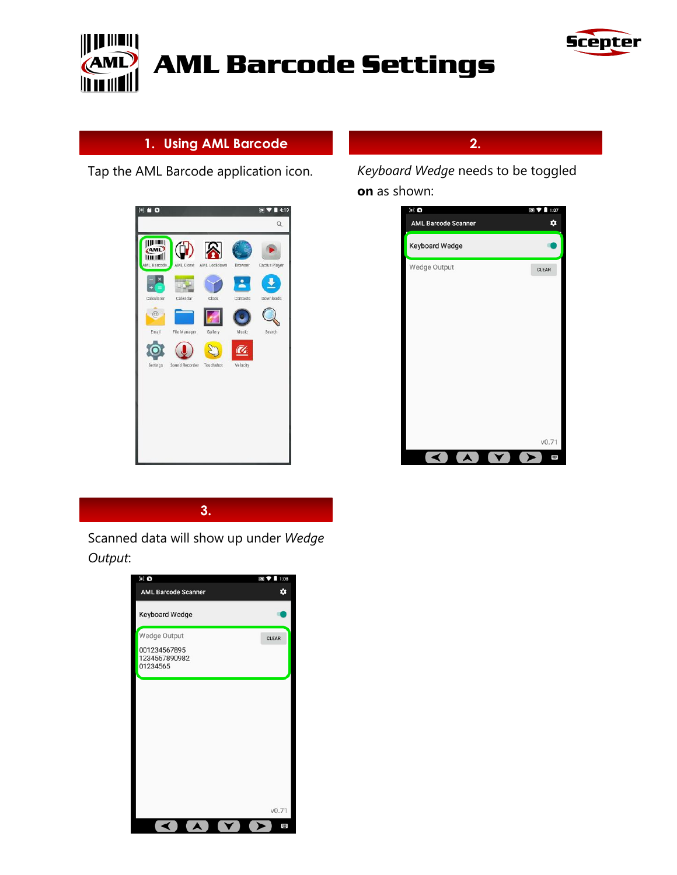



# **1. Using AML Barcode**

Tap the AML Barcode application icon.



**2.**

*Keyboard Wedge* needs to be toggled **on** as shown:



**3.**

Scanned data will show up under *Wedge Output*:

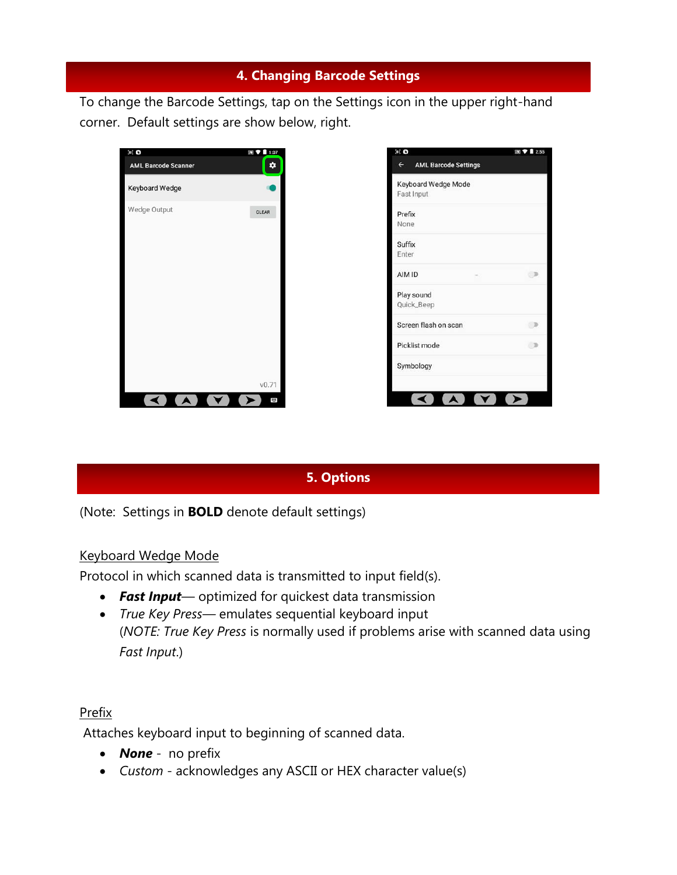# **4. Changing Barcode Settings**

To change the Barcode Settings, tap on the Settings icon in the upper right-hand corner. Default settings are show below, right.





# **5. Options**

(Note: Settings in **BOLD** denote default settings)

#### Keyboard Wedge Mode

Protocol in which scanned data is transmitted to input field(s).

- *Fast Input* optimized for quickest data transmission
- *True Key Press—* emulates sequential keyboard input (*NOTE: True Key Press* is normally used if problems arise with scanned data using *Fast Input*.)

#### Prefix

Attaches keyboard input to beginning of scanned data.

- *None*  no prefix
- *Custom*  acknowledges any ASCII or HEX character value(s)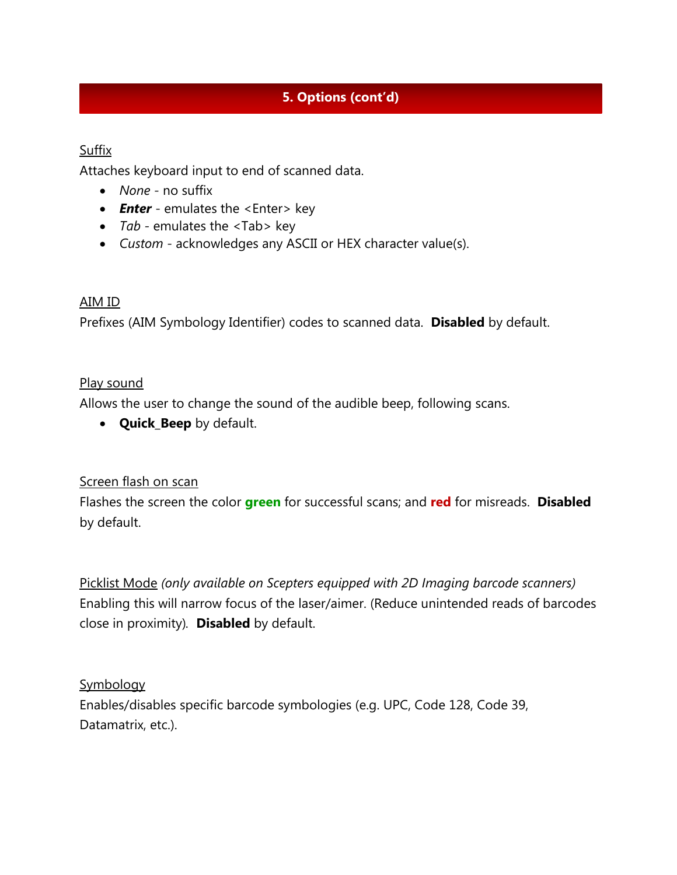# **5. Options (cont'd)**

## **Suffix**

Attaches keyboard input to end of scanned data.

- *None -* no suffix
- *Enter* emulates the <Enter> key
- *Tab -* emulates the <Tab> key
- *Custom* acknowledges any ASCII or HEX character value(s).

## AIM ID

Prefixes (AIM Symbology Identifier) codes to scanned data. **Disabled** by default.

## Play sound

Allows the user to change the sound of the audible beep, following scans.

• **Quick\_Beep** by default.

## Screen flash on scan

Flashes the screen the color **green** for successful scans; and **red** for misreads. **Disabled**  by default.

Picklist Mode *(only available on Scepters equipped with 2D Imaging barcode scanners)* Enabling this will narrow focus of the laser/aimer. (Reduce unintended reads of barcodes close in proximity)*.* **Disabled** by default.

## **Symbology**

Enables/disables specific barcode symbologies (e.g. UPC, Code 128, Code 39, Datamatrix, etc.).